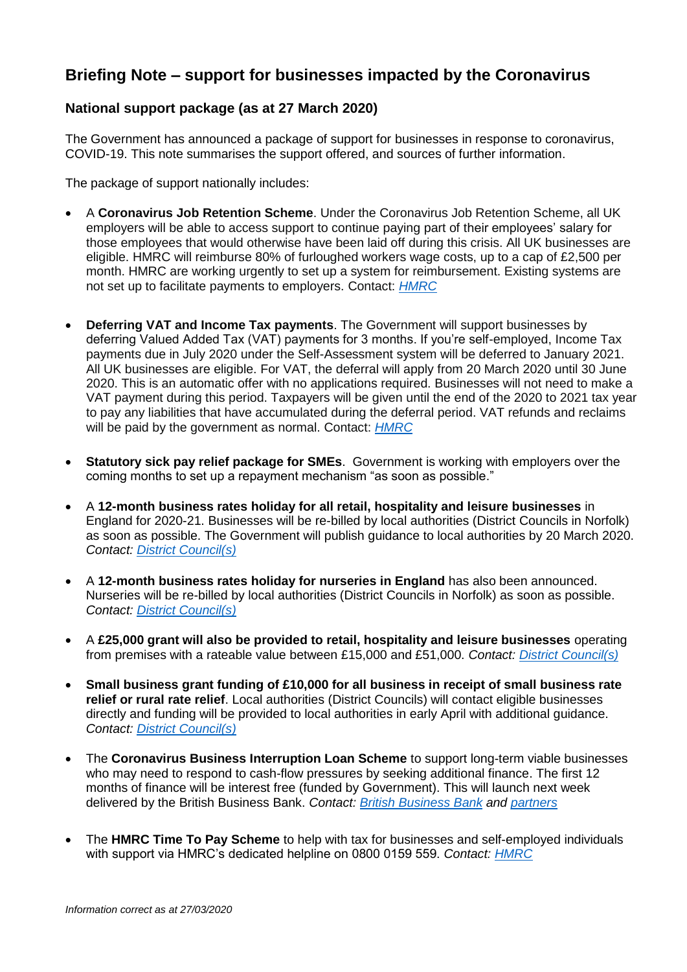## **Briefing Note – support for businesses impacted by the Coronavirus**

## **National support package (as at 27 March 2020)**

The Government has announced a package of support for businesses in response to coronavirus, COVID-19. This note summarises the support offered, and sources of further information.

The package of support nationally includes:

- A **Coronavirus Job Retention Scheme**. Under the Coronavirus Job Retention Scheme, all UK employers will be able to access support to continue paying part of their employees' salary for those employees that would otherwise have been laid off during this crisis. All UK businesses are eligible. HMRC will reimburse 80% of furloughed workers wage costs, up to a cap of £2,500 per month. HMRC are working urgently to set up a system for reimbursement. Existing systems are not set up to facilitate payments to employers. Contact: *[HMRC](https://www.gov.uk/contact-hmrc)*
- **Deferring VAT and Income Tax payments**. The Government will support businesses by deferring Valued Added Tax (VAT) payments for 3 months. If you're self-employed, Income Tax payments due in July 2020 under the Self-Assessment system will be deferred to January 2021. All UK businesses are eligible. For VAT, the deferral will apply from 20 March 2020 until 30 June 2020. This is an automatic offer with no applications required. Businesses will not need to make a VAT payment during this period. Taxpayers will be given until the end of the 2020 to 2021 tax year to pay any liabilities that have accumulated during the deferral period. VAT refunds and reclaims will be paid by the government as normal. Contact: *[HMRC](https://www.gov.uk/contact-hmrc)*
- **Statutory sick pay relief package for SMEs**. Government is working with employers over the coming months to set up a repayment mechanism "as soon as possible."
- A **12-month business rates holiday for all retail, hospitality and leisure businesses** in England for 2020-21. Businesses will be re-billed by local authorities (District Councils in Norfolk) as soon as possible. The Government will publish guidance to local authorities by 20 March 2020. *Contact: District [Council\(s\)](https://www.norfolk.gov.uk/what-we-do-and-how-we-work/your-local-councils-mps-and-meps/local-councils)*
- A **12-month business rates holiday for nurseries in England** has also been announced. Nurseries will be re-billed by local authorities (District Councils in Norfolk) as soon as possible. *Contact: [District Council\(s\)](https://www.norfolk.gov.uk/what-we-do-and-how-we-work/your-local-councils-mps-and-meps/local-councils)*
- A **£25,000 grant will also be provided to retail, hospitality and leisure businesses** operating from premises with a rateable value between £15,000 and £51,000. *Contact: [District Council\(s\)](https://www.norfolk.gov.uk/what-we-do-and-how-we-work/your-local-councils-mps-and-meps/local-councils)*
- **Small business grant funding of £10,000 for all business in receipt of small business rate relief or rural rate relief**. Local authorities (District Councils) will contact eligible businesses directly and funding will be provided to local authorities in early April with additional guidance. *Contact: [District Council\(s\)](https://www.norfolk.gov.uk/what-we-do-and-how-we-work/your-local-councils-mps-and-meps/local-councils)*
- The **Coronavirus Business Interruption Loan Scheme** to support long-term viable businesses who may need to respond to cash-flow pressures by seeking additional finance. The first 12 months of finance will be interest free (funded by Government). This will launch next week delivered by the British Business Bank. *Contact: [British Business Bank](https://www.british-business-bank.co.uk/ourpartners/coronavirus-business-interruption-loan-scheme-cbils/) and [partners](https://www.british-business-bank.co.uk/ourpartners/coronavirus-business-interruption-loan-scheme-cbils/accredited-lenders/)*
- The **HMRC Time To Pay Scheme** to help with tax for businesses and self-employed individuals with support via HMRC's dedicated helpline on 0800 0159 559. *Contact: [HMRC](https://www.gov.uk/contact-hmrc)*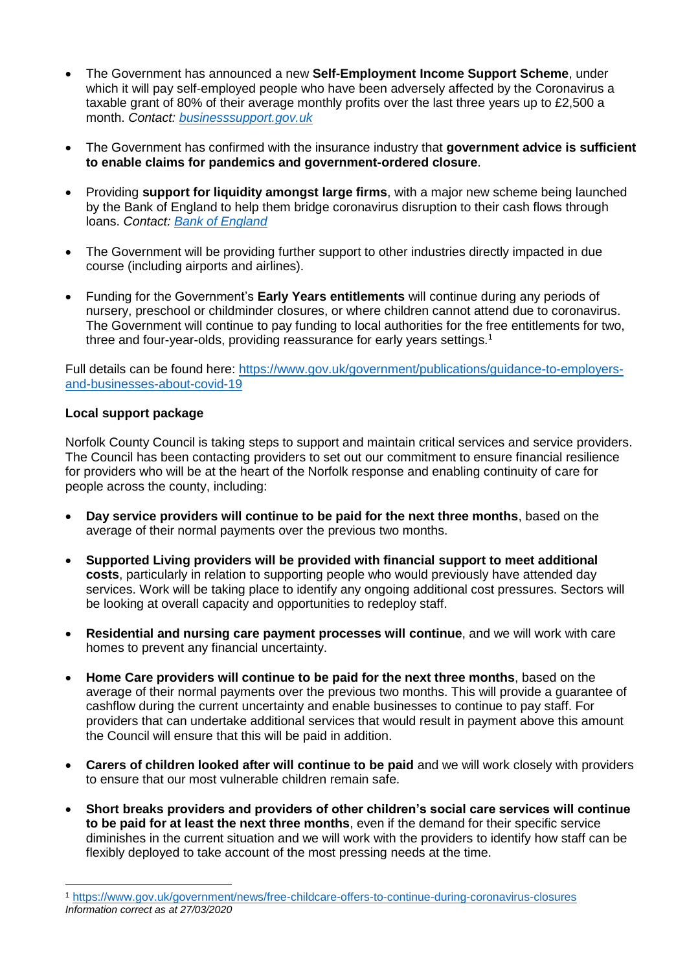- The Government has announced a new **Self-Employment Income Support Scheme**, under which it will pay self-employed people who have been adversely affected by the Coronavirus a taxable grant of 80% of their average monthly profits over the last three years up to £2,500 a month. *Contact: [businesssupport.gov.uk](https://www.businesssupport.gov.uk/self-employment-income-support-scheme/)*
- The Government has confirmed with the insurance industry that **government advice is sufficient to enable claims for pandemics and government-ordered closure**.
- Providing **support for liquidity amongst large firms**, with a major new scheme being launched by the Bank of England to help them bridge coronavirus disruption to their cash flows through loans. *Contact: [Bank of England](https://www.bankofengland.co.uk/markets/market-notices/2020/ccff-market-notice-march-2020)*
- The Government will be providing further support to other industries directly impacted in due course (including airports and airlines).
- Funding for the Government's **Early Years entitlements** will continue during any periods of nursery, preschool or childminder closures, or where children cannot attend due to coronavirus. The Government will continue to pay funding to local authorities for the free entitlements for two, three and four-year-olds, providing reassurance for early years settings.<sup>1</sup>

Full details can be found here: [https://www.gov.uk/government/publications/guidance-to-employers](https://www.gov.uk/government/publications/guidance-to-employers-and-businesses-about-covid-19)[and-businesses-about-covid-19](https://www.gov.uk/government/publications/guidance-to-employers-and-businesses-about-covid-19)

## **Local support package**

**.** 

Norfolk County Council is taking steps to support and maintain critical services and service providers. The Council has been contacting providers to set out our commitment to ensure financial resilience for providers who will be at the heart of the Norfolk response and enabling continuity of care for people across the county, including:

- **Day service providers will continue to be paid for the next three months**, based on the average of their normal payments over the previous two months.
- **Supported Living providers will be provided with financial support to meet additional costs**, particularly in relation to supporting people who would previously have attended day services. Work will be taking place to identify any ongoing additional cost pressures. Sectors will be looking at overall capacity and opportunities to redeploy staff.
- **Residential and nursing care payment processes will continue**, and we will work with care homes to prevent any financial uncertainty.
- **Home Care providers will continue to be paid for the next three months**, based on the average of their normal payments over the previous two months. This will provide a guarantee of cashflow during the current uncertainty and enable businesses to continue to pay staff. For providers that can undertake additional services that would result in payment above this amount the Council will ensure that this will be paid in addition.
- **Carers of children looked after will continue to be paid** and we will work closely with providers to ensure that our most vulnerable children remain safe.
- **Short breaks providers and providers of other children's social care services will continue to be paid for at least the next three months**, even if the demand for their specific service diminishes in the current situation and we will work with the providers to identify how staff can be flexibly deployed to take account of the most pressing needs at the time.

*Information correct as at 27/03/2020* <sup>1</sup> <https://www.gov.uk/government/news/free-childcare-offers-to-continue-during-coronavirus-closures>